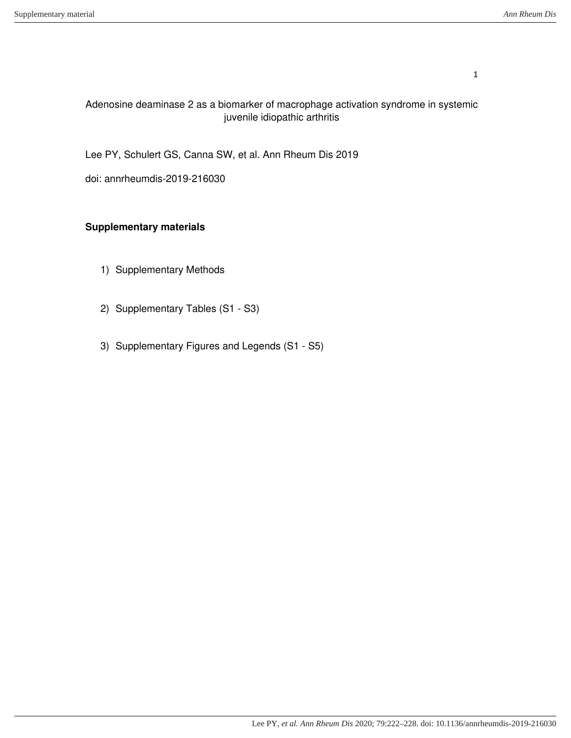### Adenosine deaminase 2 as a biomarker of macrophage activation syndrome in systemic juvenile idiopathic arthritis

Lee PY, Schulert GS, Canna SW, et al. Ann Rheum Dis 2019

doi: annrheumdis-2019-216030

## **Supplementary materials**

- 1) Supplementary Methods
- 2) Supplementary Tables (S1 S3)
- 3) Supplementary Figures and Legends (S1 S5)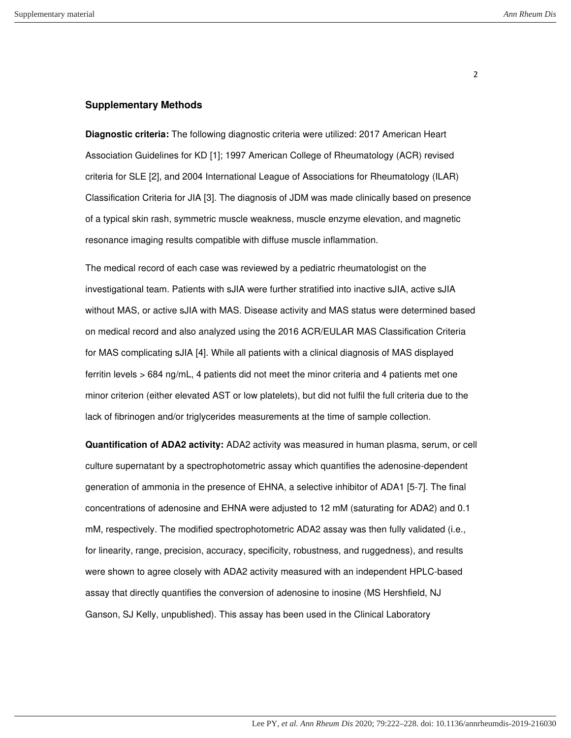#### **Supplementary Methods**

**Diagnostic criteria:** The following diagnostic criteria were utilized: 2017 American Heart Association Guidelines for KD [\[1\]](#page-4-0); 1997 American College of Rheumatology (ACR) revised criteria for SLE [\[2\]](#page-4-1), and 2004 International League of Associations for Rheumatology (ILAR) Classification Criteria for JIA [\[3\]](#page-4-2). The diagnosis of JDM was made clinically based on presence of a typical skin rash, symmetric muscle weakness, muscle enzyme elevation, and magnetic resonance imaging results compatible with diffuse muscle inflammation.

The medical record of each case was reviewed by a pediatric rheumatologist on the investigational team. Patients with sJIA were further stratified into inactive sJIA, active sJIA without MAS, or active sJIA with MAS. Disease activity and MAS status were determined based on medical record and also analyzed using the 2016 ACR/EULAR MAS Classification Criteria for MAS complicating sJIA [\[4\]](#page-4-3). While all patients with a clinical diagnosis of MAS displayed ferritin levels > 684 ng/mL, 4 patients did not meet the minor criteria and 4 patients met one minor criterion (either elevated AST or low platelets), but did not fulfil the full criteria due to the lack of fibrinogen and/or triglycerides measurements at the time of sample collection.

**Quantification of ADA2 activity:** ADA2 activity was measured in human plasma, serum, or cell culture supernatant by a spectrophotometric assay which quantifies the adenosine-dependent generation of ammonia in the presence of EHNA, a selective inhibitor of ADA1 [\[5-7\]](#page-4-4). The final concentrations of adenosine and EHNA were adjusted to 12 mM (saturating for ADA2) and 0.1 mM, respectively. The modified spectrophotometric ADA2 assay was then fully validated (i.e., for linearity, range, precision, accuracy, specificity, robustness, and ruggedness), and results were shown to agree closely with ADA2 activity measured with an independent HPLC-based assay that directly quantifies the conversion of adenosine to inosine (MS Hershfield, NJ Ganson, SJ Kelly, unpublished). This assay has been used in the Clinical Laboratory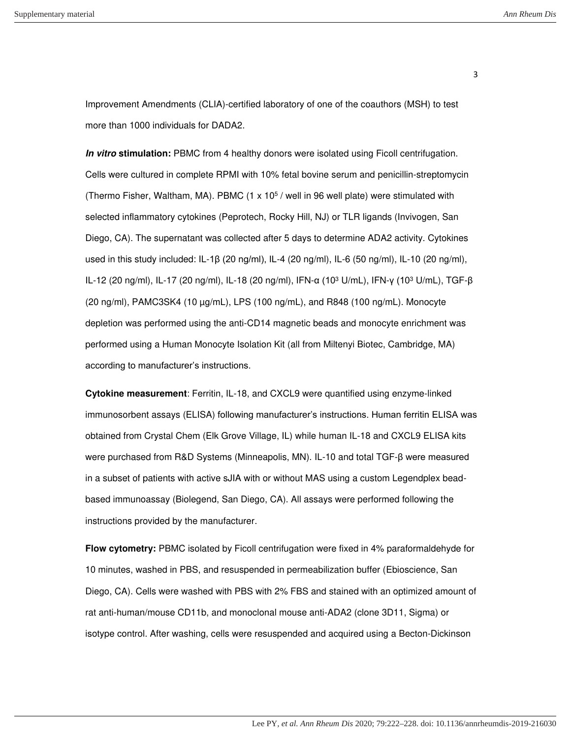Improvement Amendments (CLIA)-certified laboratory of one of the coauthors (MSH) to test more than 1000 individuals for DADA2.

**In vitro stimulation:** PBMC from 4 healthy donors were isolated using Ficoll centrifugation. Cells were cultured in complete RPMI with 10% fetal bovine serum and penicillin-streptomycin (Thermo Fisher, Waltham, MA). PBMC (1 x 10<sup>5</sup> / well in 96 well plate) were stimulated with selected inflammatory cytokines (Peprotech, Rocky Hill, NJ) or TLR ligands (Invivogen, San Diego, CA). The supernatant was collected after 5 days to determine ADA2 activity. Cytokines used in this study included: IL-1β (20 ng/ml), IL-4 (20 ng/ml), IL-6 (50 ng/ml), IL-10 (20 ng/ml), IL-12 (20 ng/ml), IL-17 (20 ng/ml), IL-18 (20 ng/ml), IFN-α (10<sup>3</sup> U/mL), IFN-γ (10<sup>3</sup> U/mL), TGF-β (20 ng/ml), PAMC3SK4 (10 µg/mL), LPS (100 ng/mL), and R848 (100 ng/mL). Monocyte depletion was performed using the anti-CD14 magnetic beads and monocyte enrichment was performed using a Human Monocyte Isolation Kit (all from Miltenyi Biotec, Cambridge, MA) according to manufacturer's instructions.

**Cytokine measurement**: Ferritin, IL-18, and CXCL9 were quantified using enzyme-linked immunosorbent assays (ELISA) following manufacturer's instructions. Human ferritin ELISA was obtained from Crystal Chem (Elk Grove Village, IL) while human IL-18 and CXCL9 ELISA kits were purchased from R&D Systems (Minneapolis, MN). IL-10 and total TGF-β were measured in a subset of patients with active sJIA with or without MAS using a custom Legendplex beadbased immunoassay (Biolegend, San Diego, CA). All assays were performed following the instructions provided by the manufacturer.

**Flow cytometry:** PBMC isolated by Ficoll centrifugation were fixed in 4% paraformaldehyde for 10 minutes, washed in PBS, and resuspended in permeabilization buffer (Ebioscience, San Diego, CA). Cells were washed with PBS with 2% FBS and stained with an optimized amount of rat anti-human/mouse CD11b, and monoclonal mouse anti-ADA2 (clone 3D11, Sigma) or isotype control. After washing, cells were resuspended and acquired using a Becton-Dickinson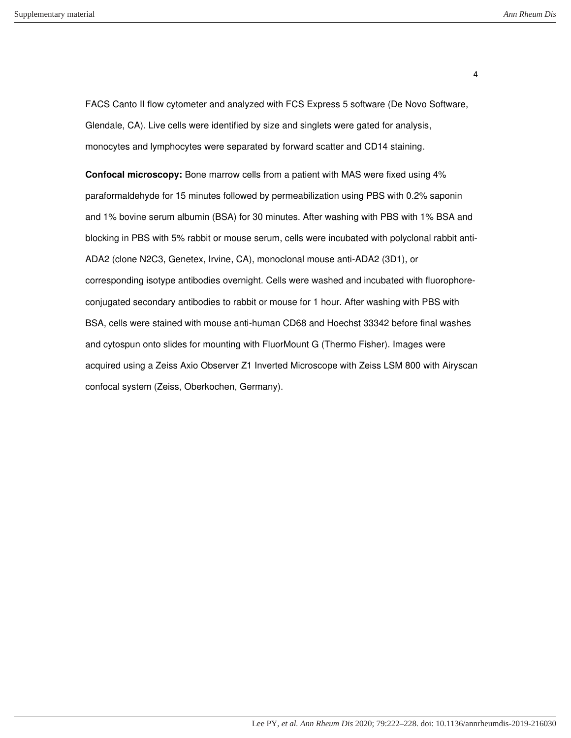FACS Canto II flow cytometer and analyzed with FCS Express 5 software (De Novo Software, Glendale, CA). Live cells were identified by size and singlets were gated for analysis, monocytes and lymphocytes were separated by forward scatter and CD14 staining.

**Confocal microscopy:** Bone marrow cells from a patient with MAS were fixed using 4% paraformaldehyde for 15 minutes followed by permeabilization using PBS with 0.2% saponin and 1% bovine serum albumin (BSA) for 30 minutes. After washing with PBS with 1% BSA and blocking in PBS with 5% rabbit or mouse serum, cells were incubated with polyclonal rabbit anti-ADA2 (clone N2C3, Genetex, Irvine, CA), monoclonal mouse anti-ADA2 (3D1), or corresponding isotype antibodies overnight. Cells were washed and incubated with fluorophoreconjugated secondary antibodies to rabbit or mouse for 1 hour. After washing with PBS with BSA, cells were stained with mouse anti-human CD68 and Hoechst 33342 before final washes and cytospun onto slides for mounting with FluorMount G (Thermo Fisher). Images were acquired using a Zeiss Axio Observer Z1 Inverted Microscope with Zeiss LSM 800 with Airyscan confocal system (Zeiss, Oberkochen, Germany).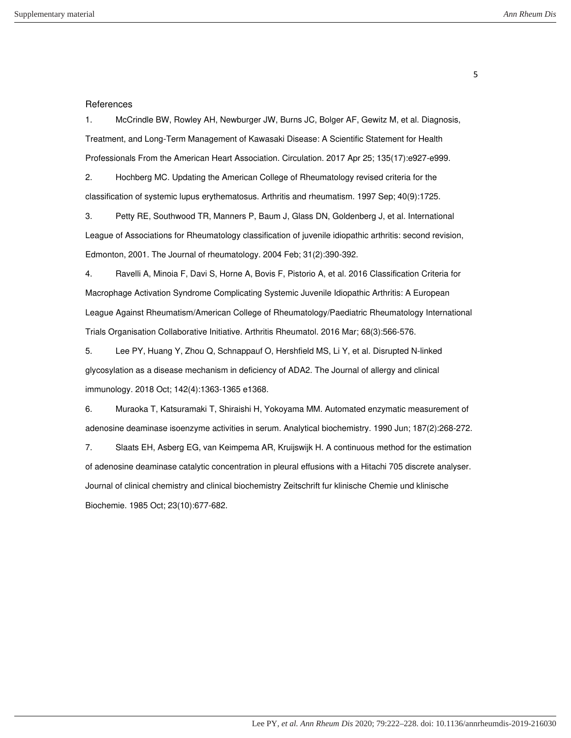#### <span id="page-4-0"></span>**References**

1. McCrindle BW, Rowley AH, Newburger JW, Burns JC, Bolger AF, Gewitz M, et al. Diagnosis, Treatment, and Long-Term Management of Kawasaki Disease: A Scientific Statement for Health Professionals From the American Heart Association. Circulation. 2017 Apr 25; 135(17):e927-e999.

<span id="page-4-2"></span><span id="page-4-1"></span>2. Hochberg MC. Updating the American College of Rheumatology revised criteria for the classification of systemic lupus erythematosus. Arthritis and rheumatism. 1997 Sep; 40(9):1725.

3. Petty RE, Southwood TR, Manners P, Baum J, Glass DN, Goldenberg J, et al. International League of Associations for Rheumatology classification of juvenile idiopathic arthritis: second revision, Edmonton, 2001. The Journal of rheumatology. 2004 Feb; 31(2):390-392.

<span id="page-4-3"></span>4. Ravelli A, Minoia F, Davi S, Horne A, Bovis F, Pistorio A, et al. 2016 Classification Criteria for Macrophage Activation Syndrome Complicating Systemic Juvenile Idiopathic Arthritis: A European League Against Rheumatism/American College of Rheumatology/Paediatric Rheumatology International Trials Organisation Collaborative Initiative. Arthritis Rheumatol. 2016 Mar; 68(3):566-576.

<span id="page-4-4"></span>5. Lee PY, Huang Y, Zhou Q, Schnappauf O, Hershfield MS, Li Y, et al. Disrupted N-linked glycosylation as a disease mechanism in deficiency of ADA2. The Journal of allergy and clinical immunology. 2018 Oct; 142(4):1363-1365 e1368.

6. Muraoka T, Katsuramaki T, Shiraishi H, Yokoyama MM. Automated enzymatic measurement of adenosine deaminase isoenzyme activities in serum. Analytical biochemistry. 1990 Jun; 187(2):268-272.

7. Slaats EH, Asberg EG, van Keimpema AR, Kruijswijk H. A continuous method for the estimation of adenosine deaminase catalytic concentration in pleural effusions with a Hitachi 705 discrete analyser. Journal of clinical chemistry and clinical biochemistry Zeitschrift fur klinische Chemie und klinische Biochemie. 1985 Oct; 23(10):677-682.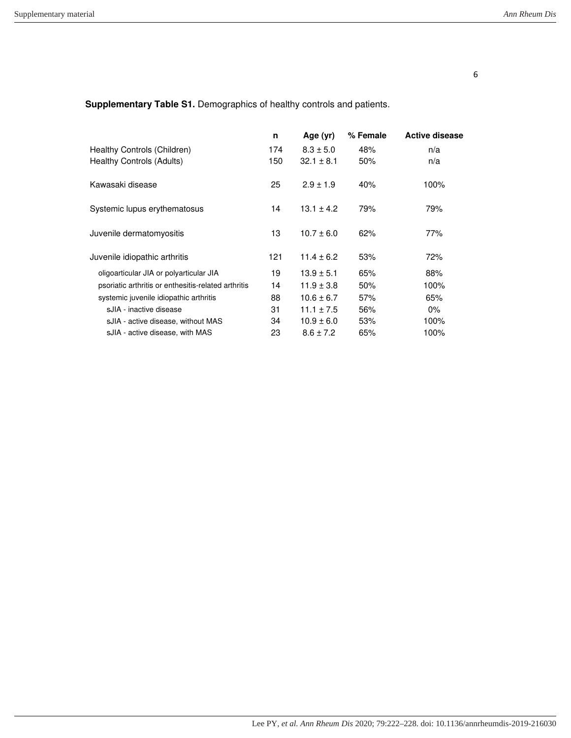**Supplementary Table S1.** Demographics of healthy controls and patients.

|                                                     | n   | Age (yr)       | % Female | <b>Active disease</b> |
|-----------------------------------------------------|-----|----------------|----------|-----------------------|
| Healthy Controls (Children)                         | 174 | $8.3 \pm 5.0$  | 48%      | n/a                   |
| Healthy Controls (Adults)                           | 150 | $32.1 \pm 8.1$ | 50%      | n/a                   |
| Kawasaki disease                                    | 25  | $2.9 \pm 1.9$  | 40%      | 100%                  |
| Systemic lupus erythematosus                        | 14  | $13.1 \pm 4.2$ | 79%      | 79%                   |
| Juvenile dermatomyositis                            | 13  | $10.7 \pm 6.0$ | 62%      | 77%                   |
| Juvenile idiopathic arthritis                       | 121 | $11.4 \pm 6.2$ | 53%      | 72%                   |
| oligoarticular JIA or polyarticular JIA             | 19  | $13.9 \pm 5.1$ | 65%      | 88%                   |
| psoriatic arthritis or enthesitis-related arthritis | 14  | $11.9 \pm 3.8$ | 50%      | 100%                  |
| systemic juvenile idiopathic arthritis              | 88  | $10.6 \pm 6.7$ | 57%      | 65%                   |
| sJIA - inactive disease                             | 31  | $11.1 \pm 7.5$ | 56%      | $0\%$                 |
| sJIA - active disease, without MAS                  | 34  | $10.9 \pm 6.0$ | 53%      | 100%                  |
| sJIA - active disease, with MAS                     | 23  | $8.6 \pm 7.2$  | 65%      | 100%                  |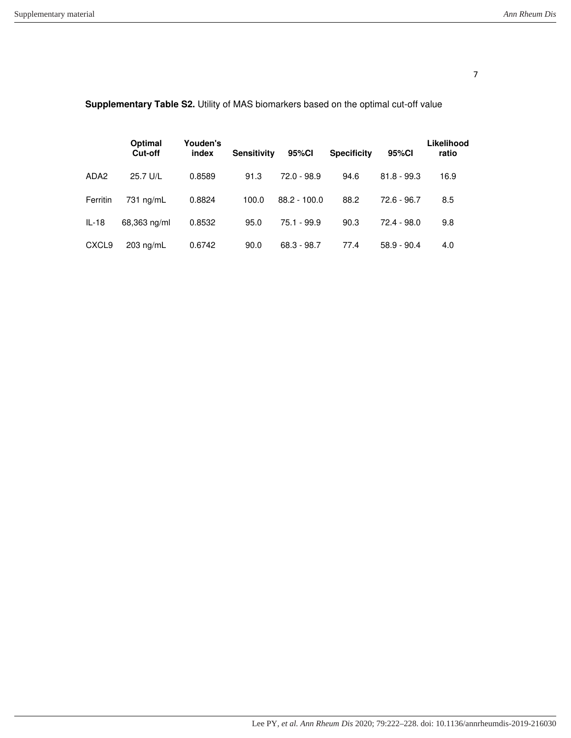|                   | Optimal<br>Cut-off | Youden's<br>index | <b>Sensitivity</b> | 95%CI          | <b>Specificity</b> | 95%CI         | Likelihood<br>ratio |
|-------------------|--------------------|-------------------|--------------------|----------------|--------------------|---------------|---------------------|
| ADA <sub>2</sub>  | 25.7 U/L           | 0.8589            | 91.3               | $72.0 - 98.9$  | 94.6               | $81.8 - 99.3$ | 16.9                |
| Ferritin          | $731$ ng/mL        | 0.8824            | 100.0              | $88.2 - 100.0$ | 88.2               | $72.6 - 96.7$ | 8.5                 |
| $IL-18$           | 68,363 ng/ml       | 0.8532            | 95.0               | $75.1 - 99.9$  | 90.3               | $72.4 - 98.0$ | 9.8                 |
| CXCL <sub>9</sub> | $203$ ng/mL        | 0.6742            | 90.0               | $68.3 - 98.7$  | 77.4               | $58.9 - 90.4$ | 4.0                 |

# **Supplementary Table S2.** Utility of MAS biomarkers based on the optimal cut-off value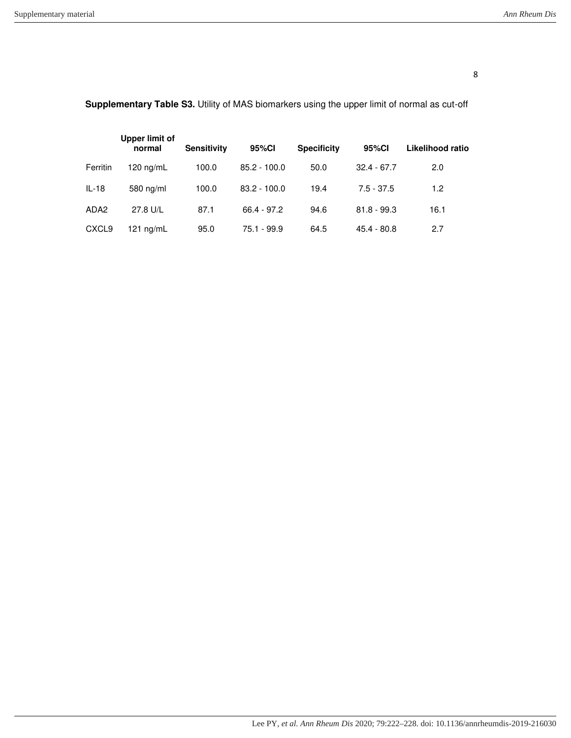|                   | <b>Upper limit of</b><br>normal | <b>Sensitivity</b> | 95%CI          | <b>Specificity</b> | 95%Cl         | Likelihood ratio |
|-------------------|---------------------------------|--------------------|----------------|--------------------|---------------|------------------|
| Ferritin          | $120 \text{ ng/mL}$             | 100.0              | $85.2 - 100.0$ | 50.0               | $32.4 - 67.7$ | 2.0              |
| $IL-18$           | 580 ng/ml                       | 100.0              | $83.2 - 100.0$ | 19.4               | $7.5 - 37.5$  | 1.2              |
| ADA <sub>2</sub>  | 27.8 U/L                        | 87.1               | $66.4 - 97.2$  | 94.6               | $81.8 - 99.3$ | 16.1             |
| CXCL <sub>9</sub> | 121 $nq/mL$                     | 95.0               | 75.1 - 99.9    | 64.5               | $45.4 - 80.8$ | 2.7              |

# **Supplementary Table S3.** Utility of MAS biomarkers using the upper limit of normal as cut-off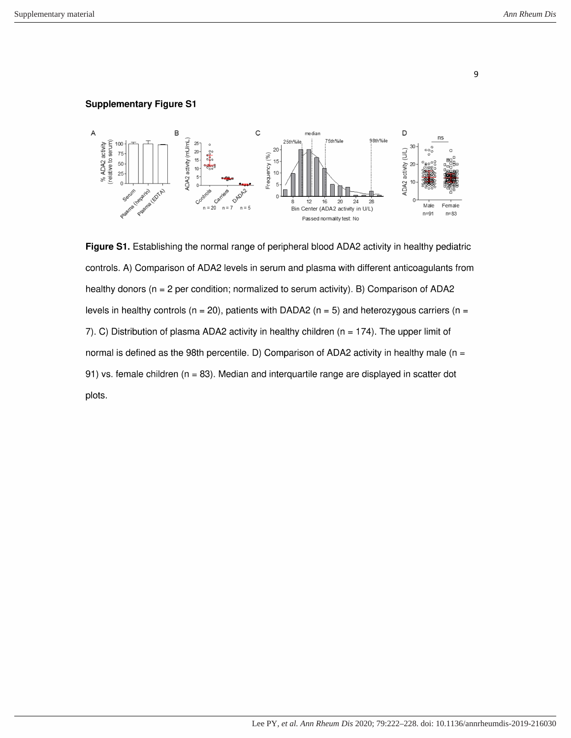#### **Supplementary Figure S1**



Figure S1. Establishing the normal range of peripheral blood ADA2 activity in healthy pediatric controls. A) Comparison of ADA2 levels in serum and plasma with different anticoagulants from healthy donors ( $n = 2$  per condition; normalized to serum activity). B) Comparison of ADA2 levels in healthy controls ( $n = 20$ ), patients with DADA2 ( $n = 5$ ) and heterozygous carriers ( $n =$ 7). C) Distribution of plasma ADA2 activity in healthy children ( $n = 174$ ). The upper limit of normal is defined as the 98th percentile. D) Comparison of ADA2 activity in healthy male ( $n =$ 91) vs. female children ( $n = 83$ ). Median and interquartile range are displayed in scatter dot plots.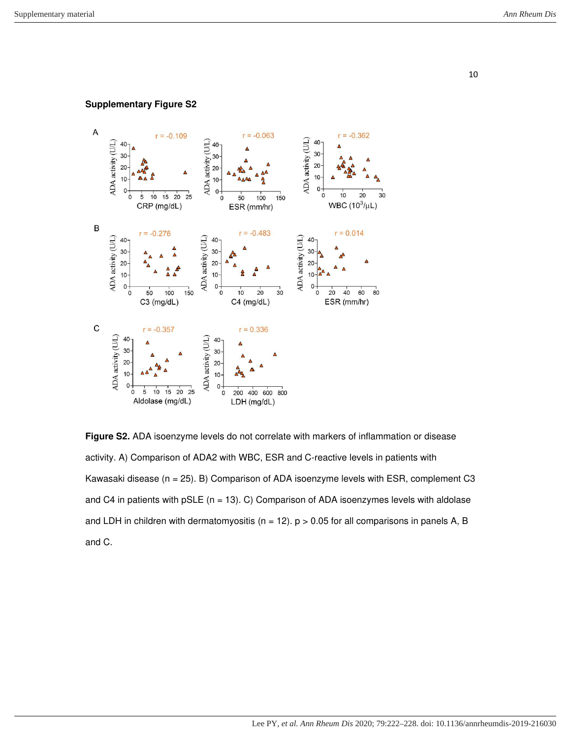### **Supplementary Figure S2**



**Figure S2.** ADA isoenzyme levels do not correlate with markers of inflammation or disease activity. A) Comparison of ADA2 with WBC, ESR and C-reactive levels in patients with Kawasaki disease ( $n = 25$ ). B) Comparison of ADA isoenzyme levels with ESR, complement C3 and C4 in patients with  $pSLE$  (n = 13). C) Comparison of ADA isoenzymes levels with aldolase and LDH in children with dermatomyositis ( $n = 12$ ).  $p > 0.05$  for all comparisons in panels A, B and C.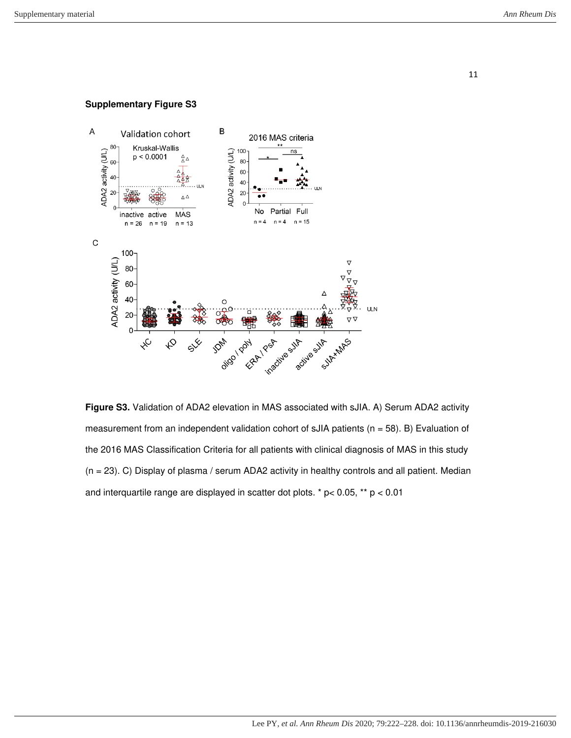#### **Supplementary Figure S3**



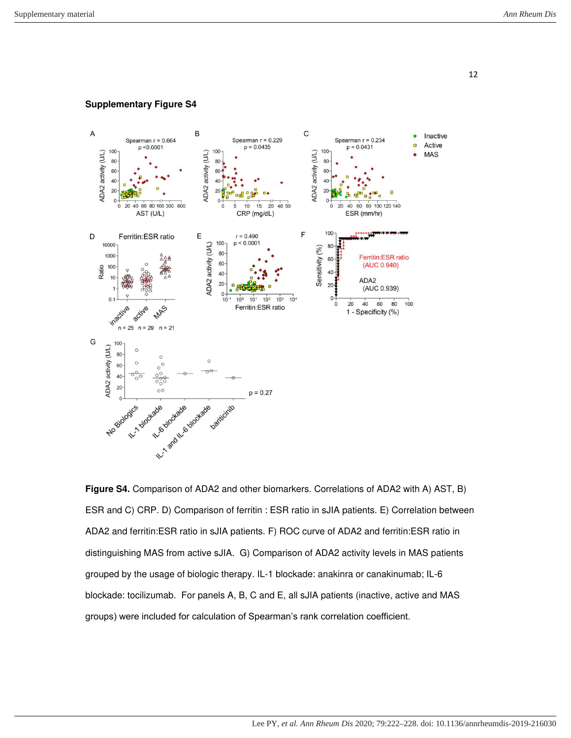**Supplementary Figure S4**



**Figure S4.** Comparison of ADA2 and other biomarkers. Correlations of ADA2 with A) AST, B) ESR and C) CRP. D) Comparison of ferritin : ESR ratio in sJIA patients. E) Correlation between ADA2 and ferritin:ESR ratio in sJIA patients. F) ROC curve of ADA2 and ferritin:ESR ratio in distinguishing MAS from active sJIA. G) Comparison of ADA2 activity levels in MAS patients grouped by the usage of biologic therapy. IL-1 blockade: anakinra or canakinumab; IL-6 blockade: tocilizumab. For panels A, B, C and E, all sJIA patients (inactive, active and MAS groups) were included for calculation of Spearman's rank correlation coefficient.

12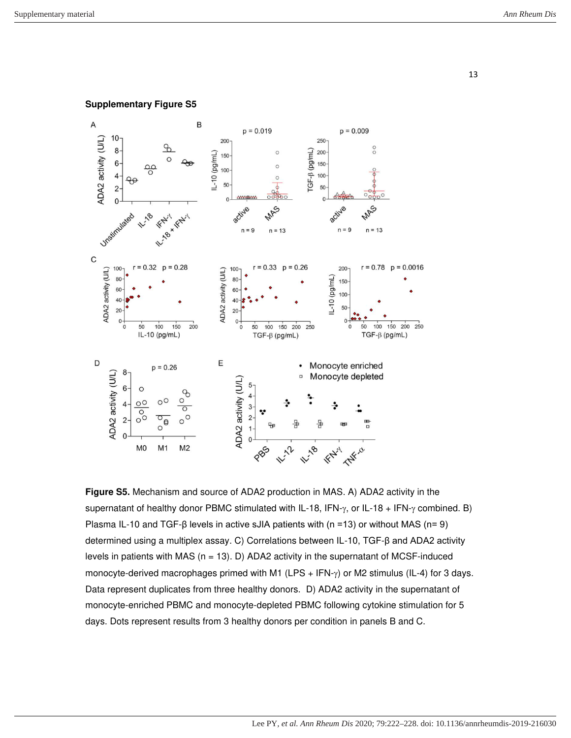

**Supplementary Figure S5**

**Figure S5.** Mechanism and source of ADA2 production in MAS. A) ADA2 activity in the supernatant of healthy donor PBMC stimulated with IL-18, IFN- $\gamma$ , or IL-18 + IFN- $\gamma$  combined. B) Plasma IL-10 and TGF-β levels in active sJIA patients with (n =13) or without MAS (n= 9) determined using a multiplex assay. C) Correlations between IL-10, TGF-β and ADA2 activity levels in patients with MAS  $(n = 13)$ . D) ADA2 activity in the supernatant of MCSF-induced monocyte-derived macrophages primed with M1 (LPS + IFN- $\gamma$ ) or M2 stimulus (IL-4) for 3 days. Data represent duplicates from three healthy donors. D) ADA2 activity in the supernatant of monocyte-enriched PBMC and monocyte-depleted PBMC following cytokine stimulation for 5 days. Dots represent results from 3 healthy donors per condition in panels B and C.

13